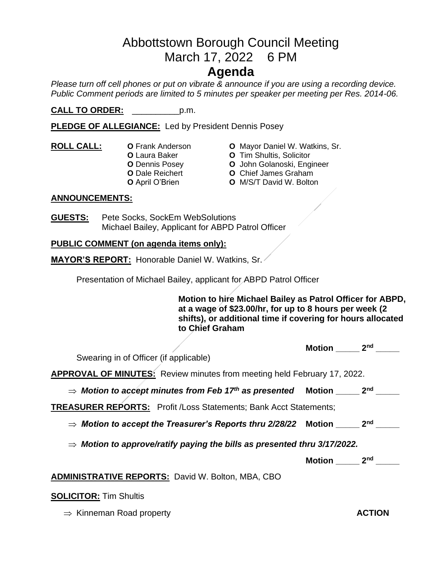# Abbottstown Borough Council Meeting March 17, 2022 6 PM

# **Agenda**

*Please turn off cell phones or put on vibrate & announce if you are using a recording device. Public Comment periods are limited to 5 minutes per speaker per meeting per Res. 2014-06.* 

**CALL TO ORDER:** \_\_\_\_\_\_\_\_\_\_p.m.

**PLEDGE OF ALLEGIANCE:** Led by President Dennis Posey

- -
- **ROLL CALL: O** Frank Anderson **O** Mayor Daniel W. Watkins, Sr.
	- **O** Laura Baker **O** Tim Shultis, Solicitor
	- **O** Dennis Posey **O** John Golanoski, Engineer
	- **O** Dale Reichert **O** Chief James Graham
		- **O** April O'Brien **O** M/S/T David W. Bolton

## **ANNOUNCEMENTS:**

**GUESTS:** Pete Socks, SockEm WebSolutions Michael Bailey, Applicant for ABPD Patrol Officer

## **PUBLIC COMMENT (on agenda items only):**

**MAYOR'S REPORT:** Honorable Daniel W. Watkins, Sr.

Presentation of Michael Bailey, applicant for ABPD Patrol Officer

**Motion to hire Michael Bailey as Patrol Officer for ABPD, at a wage of \$23.00/hr, for up to 8 hours per week (2 shifts), or additional time if covering for hours allocated to Chief Graham**

|                                                                                      | Motion     | 2 <sub>nd</sub> |
|--------------------------------------------------------------------------------------|------------|-----------------|
| Swearing in of Officer (if applicable)                                               |            |                 |
| <b>APPROVAL OF MINUTES:</b> Review minutes from meeting held February 17, 2022.      |            |                 |
| $\Rightarrow$ Motion to accept minutes from Feb 17th as presented Motion _______ 2nd |            |                 |
| <b>TREASURER REPORTS:</b> Profit / Loss Statements; Bank Acct Statements;            |            |                 |
| $\Rightarrow$ Motion to accept the Treasurer's Reports thru 2/28/22 $\,$ Motion $\,$ |            | 2 <sub>nd</sub> |
| $\Rightarrow$ Motion to approve/ratify paying the bills as presented thru 3/17/2022. |            |                 |
|                                                                                      | Motion 2nd |                 |
| <b>ADMINISTRATIVE REPORTS: David W. Bolton, MBA, CBO</b>                             |            |                 |
|                                                                                      |            |                 |

#### **SOLICITOR:** Tim Shultis

 $\Rightarrow$  Kinneman Road property **ACTION**